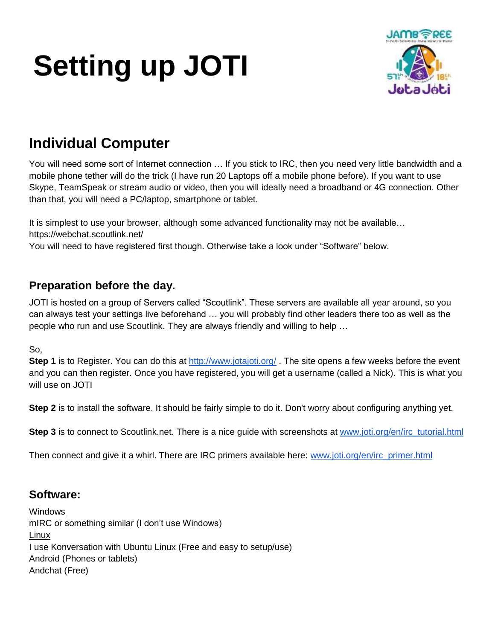# **Setting up JOTI**



## **Individual Computer**

You will need some sort of Internet connection … If you stick to IRC, then you need very little bandwidth and a mobile phone tether will do the trick (I have run 20 Laptops off a mobile phone before). If you want to use Skype, TeamSpeak or stream audio or video, then you will ideally need a broadband or 4G connection. Other than that, you will need a PC/laptop, smartphone or tablet.

It is simplest to use your browser, although some advanced functionality may not be available... https://webchat.scoutlink.net/

You will need to have registered first though. Otherwise take a look under "Software" below.

## **Preparation before the day.**

JOTI is hosted on a group of Servers called "Scoutlink". These servers are available all year around, so you can always test your settings live beforehand … you will probably find other leaders there too as well as the people who run and use Scoutlink. They are always friendly and willing to help …

So,

Step 1 is to Register. You can do this at<http://www.jotajoti.org/>. The site opens a few weeks before the event and you can then register. Once you have registered, you will get a username (called a Nick). This is what you will use on JOTI

**Step 2** is to install the software. It should be fairly simple to do it. Don't worry about configuring anything yet.

**Step 3** is to connect to Scoutlink.net. There is a nice guide with screenshots at [www.joti.org/en/irc\\_tutorial.html](http://www.joti.org/en/irc_tutorial.html)

Then connect and give it a whirl. There are IRC primers available here: [www.joti.org/en/irc\\_primer.html](http://www.joti.org/en/irc_primer.html)

### **Software:**

Windows mIRC or something similar (I don't use Windows) Linux I use Konversation with Ubuntu Linux (Free and easy to setup/use) Android (Phones or tablets) Andchat (Free)